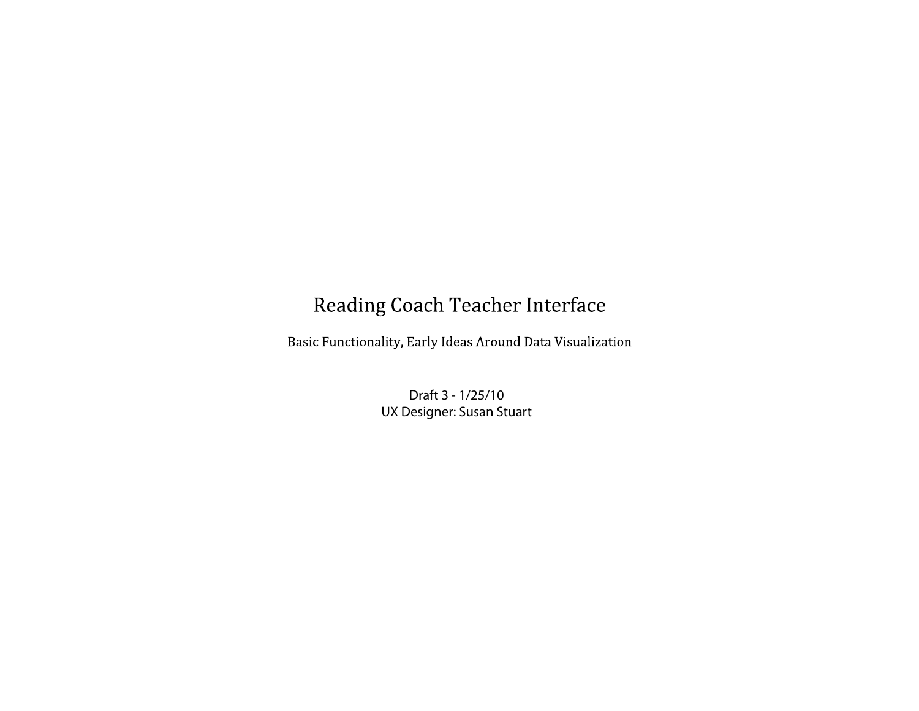## Reading Coach Teacher Interface

Basic Functionality, Early Ideas Around Data Visualization

Draft 3 - 1/25/10 UX Designer: Susan Stuart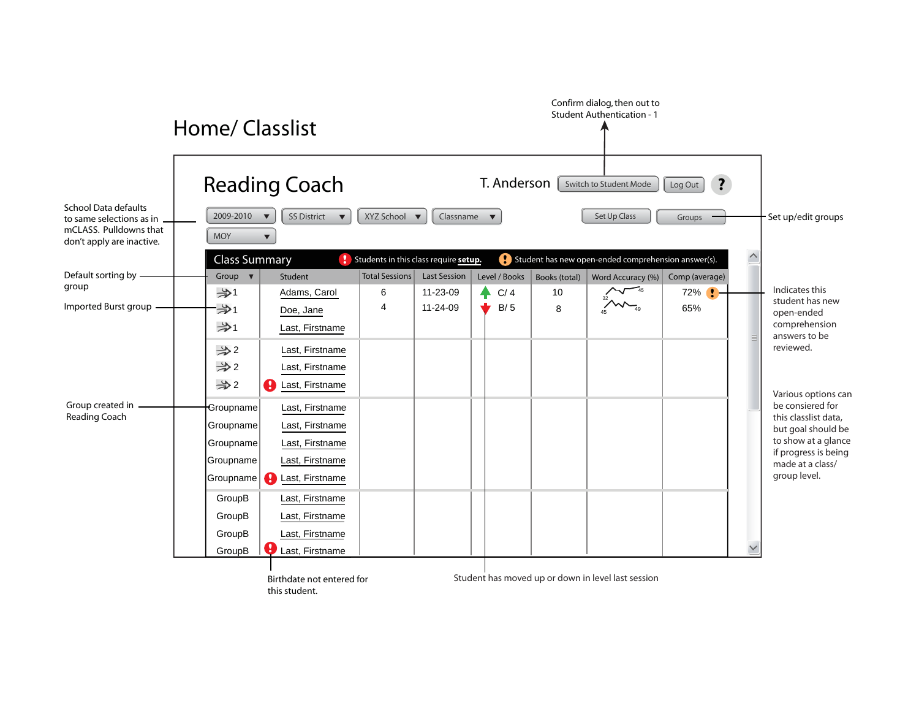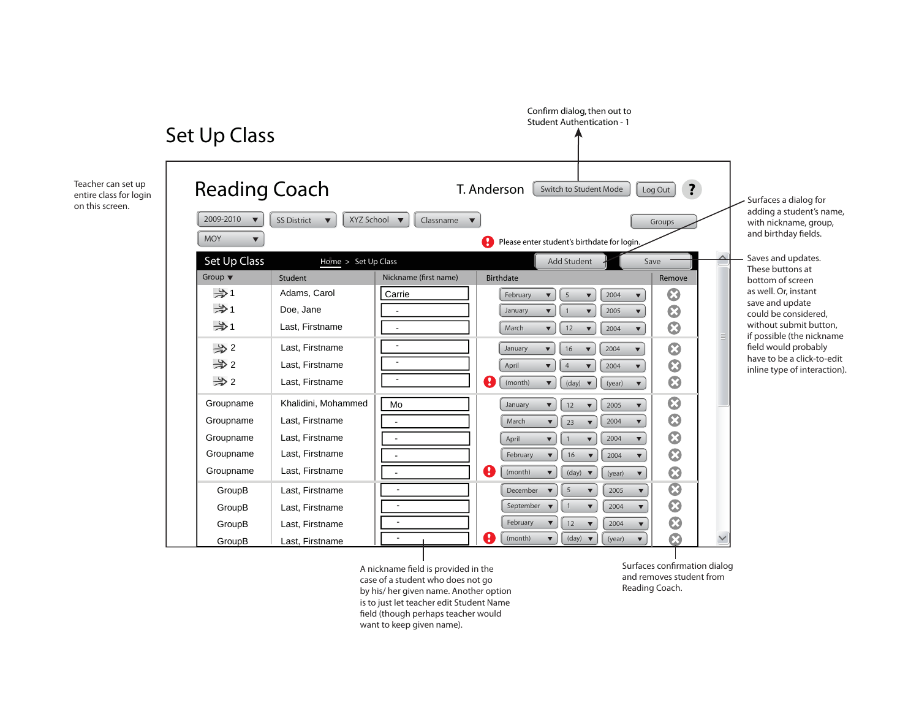

A nickname field is provided in the case of a student who does not go by his/ her given name. Another option is to just let teacher edit Student Name field (though perhaps teacher would want to keep given name).

Surfaces confirmation dialog and removes student from Reading Coach.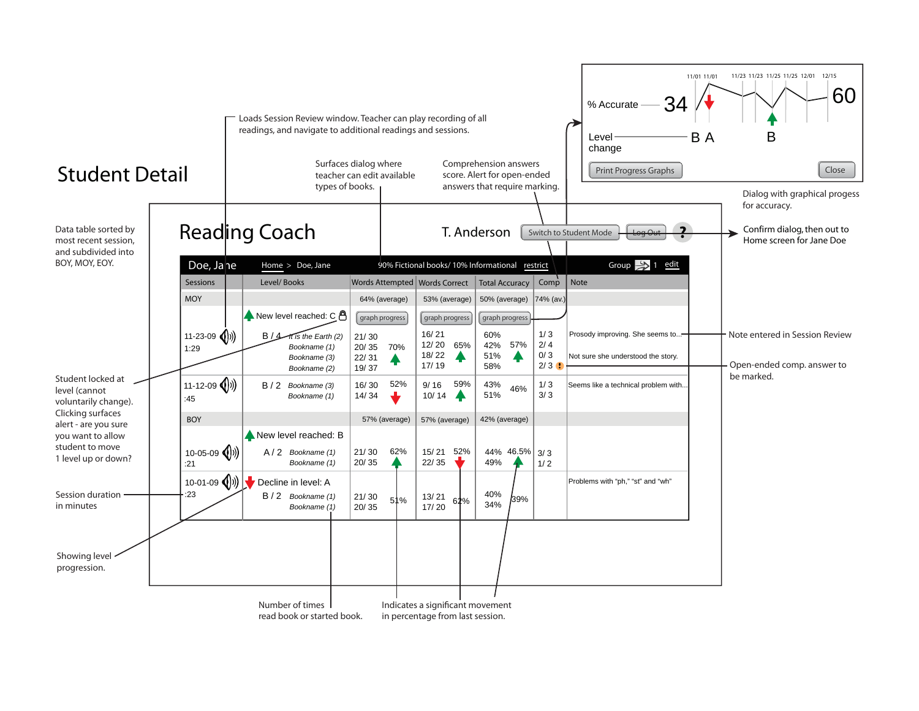